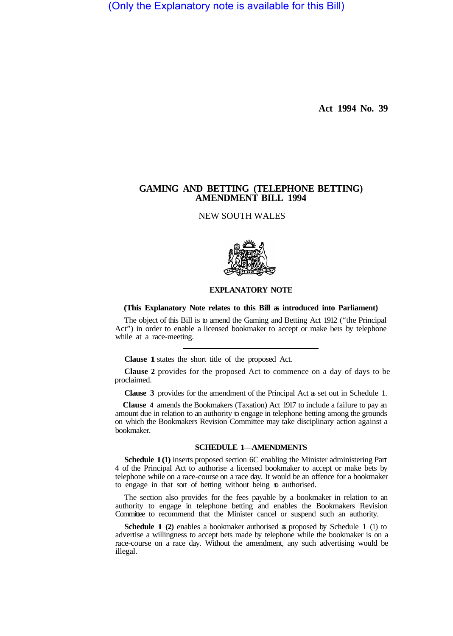(Only the Explanatory note is available for this Bill)

**Act 1994 No. 39** 

## **GAMING AND BETTING (TELEPHONE BETTING) AMENDMENT BILL 1994**

NEW SOUTH WALES



## **EXPLANATORY NOTE**

## **(This Explanatory Note relates to this Bill as introduced into Parliament)**

The object of this Bill is to amend the Gaming and Betting Act 1912 ("the Principal Act") in order to enable a licensed bookmaker to accept or make bets by telephone while at a race-meeting.

**Clause 1** states the short title of the proposed Act.

**Clause 2** provides for the proposed Act to commence on a day of days to be proclaimed.

**Clause 3** provides for the amendment of the Principal Act as set out in Schedule 1.

**Clause 4** amends the Bookmakers (Taxation) Act 1917 to include a failure to pay an amount due in relation to an authority to engage in telephone betting among the grounds on which the Bookmakers Revision Committee may take disciplinary action against a bookmaker.

## **SCHEDULE 1—AMENDMENTS**

**Schedule 1 (1)** inserts proposed section 6C enabling the Minister administering Part 4 of the Principal Act to authorise a licensed bookmaker to accept or make bets by telephone while on a race-course on a race day. It would be an offence for a bookmaker to engage in that sort of betting without being so authorised.

The section also provides for the fees payable by a bookmaker in relation to an authority to engage in telephone betting and enables the Bookmakers Revision Committee to recommend that the Minister cancel or suspend such an authority.

**Schedule 1** (2) enables a bookmaker authorised as proposed by Schedule 1 (1) to advertise a willingness to accept bets made by telephone while the bookmaker is on a race-course on a race day. Without the amendment, any such advertising would be illegal.